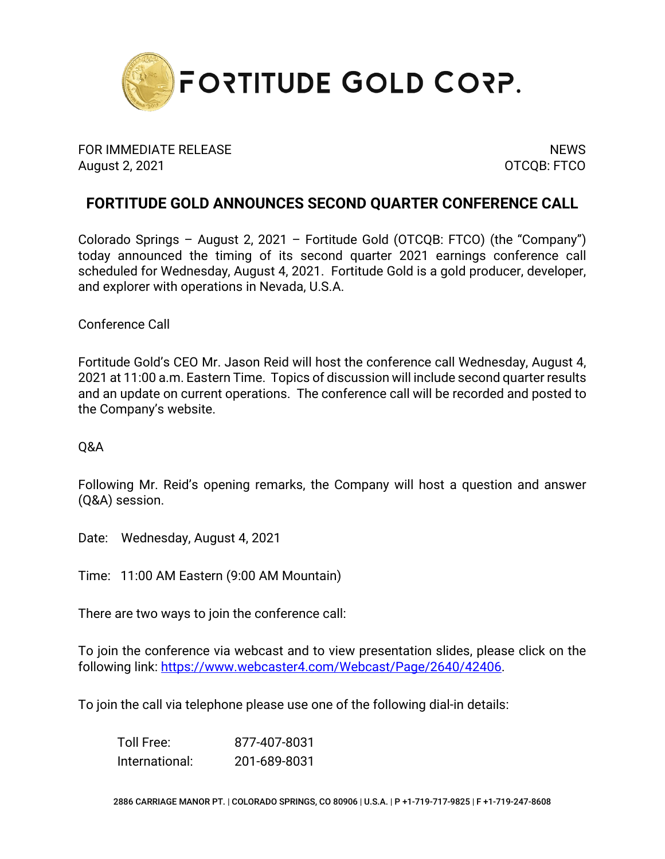

FOR IMMEDIATE RELEASE NEWS AND THE SERVICE OF STREET AND THE SERVICE OF STREET AND THE SERVICE OF STREET AND T August 2, 2021 **OTCQB: FTCO** 

## **FORTITUDE GOLD ANNOUNCES SECOND QUARTER CONFERENCE CALL**

Colorado Springs – August 2, 2021 – Fortitude Gold (OTCQB: FTCO) (the "Company") today announced the timing of its second quarter 2021 earnings conference call scheduled for Wednesday, August 4, 2021. Fortitude Gold is a gold producer, developer, and explorer with operations in Nevada, U.S.A.

Conference Call

Fortitude Gold's CEO Mr. Jason Reid will host the conference call Wednesday, August 4, 2021 at 11:00 a.m. Eastern Time. Topics of discussion will include second quarter results and an update on current operations. The conference call will be recorded and posted to the Company's website.

Q&A

Following Mr. Reid's opening remarks, the Company will host a question and answer (Q&A) session.

Date: Wednesday, August 4, 2021

Time: 11:00 AM Eastern (9:00 AM Mountain)

There are two ways to join the conference call:

To join the conference via webcast and to view presentation slides, please click on the following link: [https://www.webcaster4.com/Webcast/Page/2640/42406.](https://urldefense.proofpoint.com/v2/url?u=https-3A__www.webcaster4.com_Webcast_Page_2640_42406&d=DwMFAg&c=euGZstcaTDllvimEN8b7jXrwqOf-v5A_CdpgnVfiiMM&r=CDSfYHrgzOGf2w-Rwt6Uk0zVxiY8YrVRn781D9Ps-qc&m=eMv0jm3BFqJsySsyViWscKxpraksggrwEBJy3DZ39b0&s=YEzzOf1f_wMzRHpYOoCt4NDV-xXZw2P-WannWocjfeI&e=)

To join the call via telephone please use one of the following dial-in details:

Toll Free: 877-407-8031 International: 201-689-8031